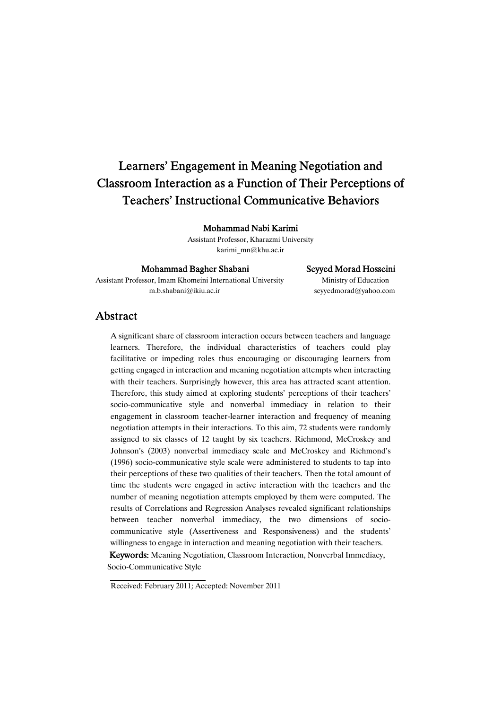# Learners' Engagement in Meaning Negotiation and Classroom Interaction as a Function of Their Perceptions of Teachers' Instructional Communicative Behaviors

Mohammad Nabi Karimi

Assistant Professor, Kharazmi University karimi\_mn@khu.ac.ir

#### Mohammad Bagher Shabani Seyyed Morad Hosseini

Assistant Professor, Imam Khomeini International University Ministry of Education m.b.shabani@ikiu.ac.ir seyyedmorad@yahoo.com

## Abstract

A significant share of classroom interaction occurs between teachers and language learners. Therefore, the individual characteristics of teachers could play facilitative or impeding roles thus encouraging or discouraging learners from getting engaged in interaction and meaning negotiation attempts when interacting with their teachers. Surprisingly however, this area has attracted scant attention. Therefore, this study aimed at exploring students' perceptions of their teachers' socio-communicative style and nonverbal immediacy in relation to their engagement in classroom teacher-learner interaction and frequency of meaning negotiation attempts in their interactions. To this aim, 72 students were randomly assigned to six classes of 12 taught by six teachers. Richmond, McCroskey and Johnson's (2003) nonverbal immediacy scale and McCroskey and Richmond's (1996) socio-communicative style scale were administered to students to tap into their perceptions of these two qualities of their teachers. Then the total amount of time the students were engaged in active interaction with the teachers and the number of meaning negotiation attempts employed by them were computed. The results of Correlations and Regression Analyses revealed significant relationships between teacher nonverbal immediacy, the two dimensions of sociocommunicative style (Assertiveness and Responsiveness) and the students' willingness to engage in interaction and meaning negotiation with their teachers.

Keywords: Meaning Negotiation, Classroom Interaction, Nonverbal Immediacy, Socio-Communicative Style

Received: February 2011; Accepted: November 2011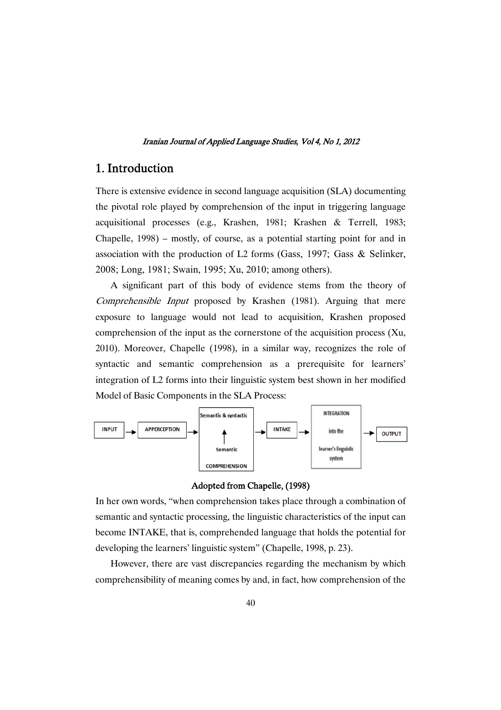## 1. Introduction

There is extensive evidence in second language acquisition (SLA) documenting the pivotal role played by comprehension of the input in triggering language acquisitional processes (e.g., Krashen, 1981; Krashen & Terrell, 1983; Chapelle, 1998) – mostly, of course, as a potential starting point for and in association with the production of L2 forms (Gass, 1997; Gass & Selinker, 2008; Long, 1981; Swain, 1995; Xu, 2010; among others).

A significant part of this body of evidence stems from the theory of Comprehensible Input proposed by Krashen (1981). Arguing that mere exposure to language would not lead to acquisition, Krashen proposed comprehension of the input as the cornerstone of the acquisition process (Xu, 2010). Moreover, Chapelle (1998), in a similar way, recognizes the role of syntactic and semantic comprehension as a prerequisite for learners' integration of L2 forms into their linguistic system best shown in her modified Model of Basic Components in the SLA Process:



## Adopted from Chapelle, (1998)

In her own words, "when comprehension takes place through a combination of semantic and syntactic processing, the linguistic characteristics of the input can become INTAKE, that is, comprehended language that holds the potential for developing the learners' linguistic system" (Chapelle, 1998, p. 23).

However, there are vast discrepancies regarding the mechanism by which comprehensibility of meaning comes by and, in fact, how comprehension of the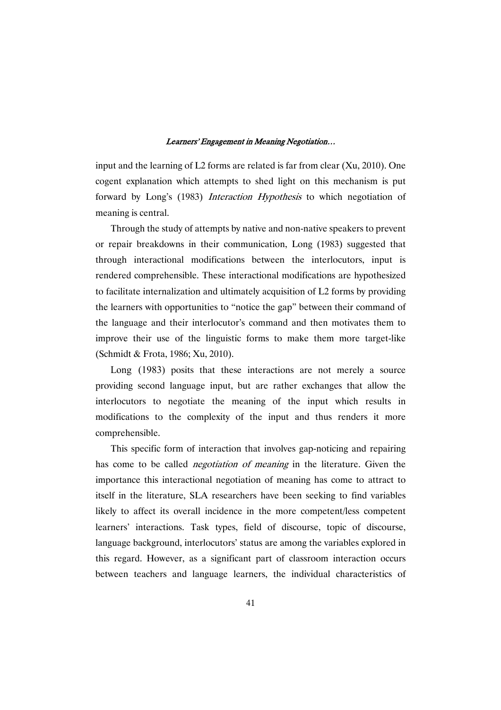input and the learning of L2 forms are related is far from clear (Xu, 2010). One cogent explanation which attempts to shed light on this mechanism is put forward by Long's (1983) *Interaction Hypothesis* to which negotiation of meaning is central.

Through the study of attempts by native and non-native speakers to prevent or repair breakdowns in their communication, Long (1983) suggested that through interactional modifications between the interlocutors, input is rendered comprehensible. These interactional modifications are hypothesized to facilitate internalization and ultimately acquisition of L2 forms by providing the learners with opportunities to "notice the gap" between their command of the language and their interlocutor's command and then motivates them to improve their use of the linguistic forms to make them more target-like (Schmidt & Frota, 1986; Xu, 2010).

Long (1983) posits that these interactions are not merely a source providing second language input, but are rather exchanges that allow the interlocutors to negotiate the meaning of the input which results in modifications to the complexity of the input and thus renders it more comprehensible.

This specific form of interaction that involves gap-noticing and repairing has come to be called *negotiation of meaning* in the literature. Given the importance this interactional negotiation of meaning has come to attract to itself in the literature, SLA researchers have been seeking to find variables likely to affect its overall incidence in the more competent/less competent learners' interactions. Task types, field of discourse, topic of discourse, language background, interlocutors' status are among the variables explored in this regard. However, as a significant part of classroom interaction occurs between teachers and language learners, the individual characteristics of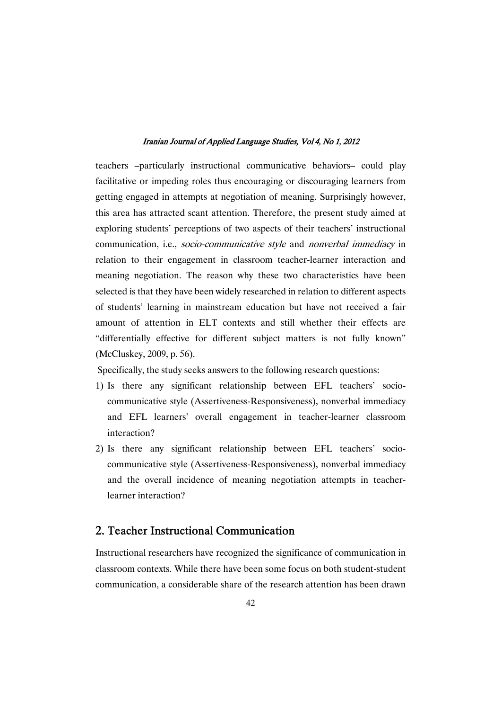teachers –particularly instructional communicative behaviors– could play facilitative or impeding roles thus encouraging or discouraging learners from getting engaged in attempts at negotiation of meaning. Surprisingly however, this area has attracted scant attention. Therefore, the present study aimed at exploring students' perceptions of two aspects of their teachers' instructional communication, i.e., socio-communicative style and nonverbal immediacy in relation to their engagement in classroom teacher-learner interaction and meaning negotiation. The reason why these two characteristics have been selected is that they have been widely researched in relation to different aspects of students' learning in mainstream education but have not received a fair amount of attention in ELT contexts and still whether their effects are "differentially effective for different subject matters is not fully known" (McCluskey, 2009, p. 56).

Specifically, the study seeks answers to the following research questions:

- 1) Is there any significant relationship between EFL teachers' sociocommunicative style (Assertiveness-Responsiveness), nonverbal immediacy and EFL learners' overall engagement in teacher-learner classroom interaction?
- 2) Is there any significant relationship between EFL teachers' sociocommunicative style (Assertiveness-Responsiveness), nonverbal immediacy and the overall incidence of meaning negotiation attempts in teacherlearner interaction?

## 2. Teacher Instructional Communication

Instructional researchers have recognized the significance of communication in classroom contexts. While there have been some focus on both student-student communication, a considerable share of the research attention has been drawn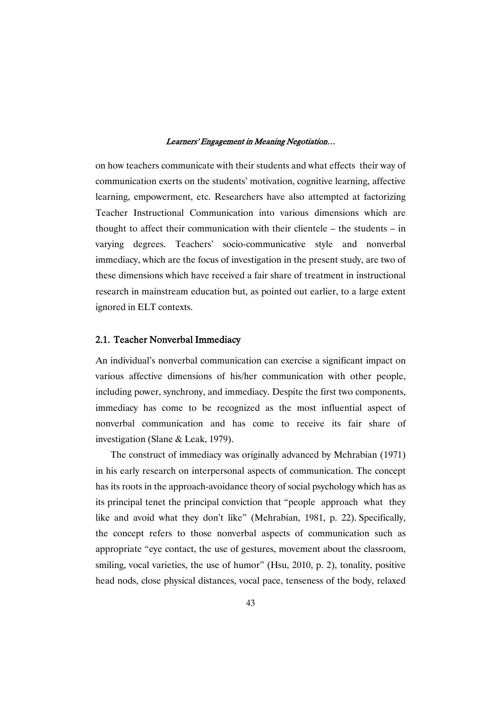on how teachers communicate with their students and what effects their way of communication exerts on the students' motivation, cognitive learning, affective learning, empowerment, etc. Researchers have also attempted at factorizing Teacher Instructional Communication into various dimensions which are thought to affect their communication with their clientele – the students – in varying degrees. Teachers' socio-communicative style and nonverbal immediacy, which are the focus of investigation in the present study, are two of these dimensions which have received a fair share of treatment in instructional research in mainstream education but, as pointed out earlier, to a large extent ignored in ELT contexts.

## 2.1. Teacher Nonverbal Immediacy

An individual's nonverbal communication can exercise a significant impact on various affective dimensions of his/her communication with other people, including power, synchrony, and immediacy. Despite the first two components, immediacy has come to be recognized as the most influential aspect of nonverbal communication and has come to receive its fair share of investigation (Slane & Leak, 1979).

The construct of immediacy was originally advanced by Mehrabian (1971) in his early research on interpersonal aspects of communication. The concept has its roots in the approach-avoidance theory of social psychology which has as its principal tenet the principal conviction that "people approach what they like and avoid what they don't like" (Mehrabian, 1981, p. 22). Specifically, the concept refers to those nonverbal aspects of communication such as appropriate "eye contact, the use of gestures, movement about the classroom, smiling, vocal varieties, the use of humor" (Hsu, 2010, p. 2), tonality, positive head nods, close physical distances, vocal pace, tenseness of the body, relaxed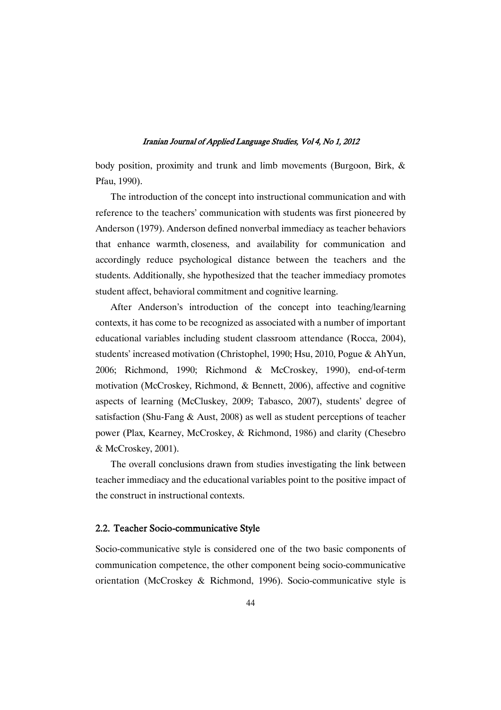body position, proximity and trunk and limb movements (Burgoon, Birk, & Pfau, 1990).

The introduction of the concept into instructional communication and with reference to the teachers' communication with students was first pioneered by Anderson (1979). Anderson defined nonverbal immediacy as teacher behaviors that enhance warmth, closeness, and availability for communication and accordingly reduce psychological distance between the teachers and the students. Additionally, she hypothesized that the teacher immediacy promotes student affect, behavioral commitment and cognitive learning.

After Anderson's introduction of the concept into teaching/learning contexts, it has come to be recognized as associated with a number of important educational variables including student classroom attendance (Rocca, 2004), students' increased motivation (Christophel, 1990; Hsu, 2010, Pogue & AhYun, 2006; Richmond, 1990; Richmond & McCroskey, 1990), end-of-term motivation (McCroskey, Richmond, & Bennett, 2006), affective and cognitive aspects of learning (McCluskey, 2009; Tabasco, 2007), students' degree of satisfaction (Shu-Fang & Aust, 2008) as well as student perceptions of teacher power (Plax, Kearney, McCroskey, & Richmond, 1986) and clarity (Chesebro & McCroskey, 2001).

The overall conclusions drawn from studies investigating the link between teacher immediacy and the educational variables point to the positive impact of the construct in instructional contexts.

## 2.2. Teacher Socio-communicative Style

Socio-communicative style is considered one of the two basic components of communication competence, the other component being socio-communicative orientation (McCroskey & Richmond, 1996). Socio-communicative style is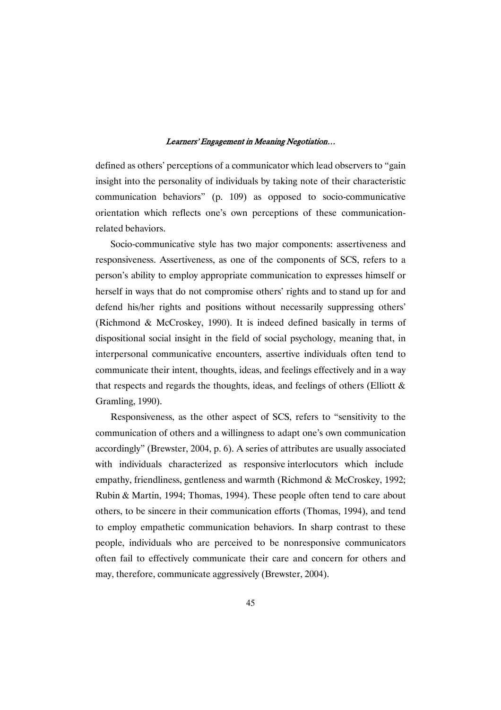defined as others' perceptions of a communicator which lead observers to "gain insight into the personality of individuals by taking note of their characteristic communication behaviors" (p. 109) as opposed to socio-communicative orientation which reflects one's own perceptions of these communicationrelated behaviors.

Socio-communicative style has two major components: assertiveness and responsiveness. Assertiveness, as one of the components of SCS, refers to a person's ability to employ appropriate communication to expresses himself or herself in ways that do not compromise others' rights and to stand up for and defend his/her rights and positions without necessarily suppressing others' (Richmond & McCroskey, 1990). It is indeed defined basically in terms of dispositional social insight in the field of social psychology, meaning that, in interpersonal communicative encounters, assertive individuals often tend to communicate their intent, thoughts, ideas, and feelings effectively and in a way that respects and regards the thoughts, ideas, and feelings of others (Elliott  $\&$ Gramling, 1990).

Responsiveness, as the other aspect of SCS, refers to "sensitivity to the communication of others and a willingness to adapt one's own communication accordingly" (Brewster, 2004, p. 6). A series of attributes are usually associated with individuals characterized as responsive interlocutors which include empathy, friendliness, gentleness and warmth (Richmond & McCroskey, 1992; Rubin & Martin, 1994; Thomas, 1994). These people often tend to care about others, to be sincere in their communication efforts (Thomas, 1994), and tend to employ empathetic communication behaviors. In sharp contrast to these people, individuals who are perceived to be nonresponsive communicators often fail to effectively communicate their care and concern for others and may, therefore, communicate aggressively (Brewster, 2004).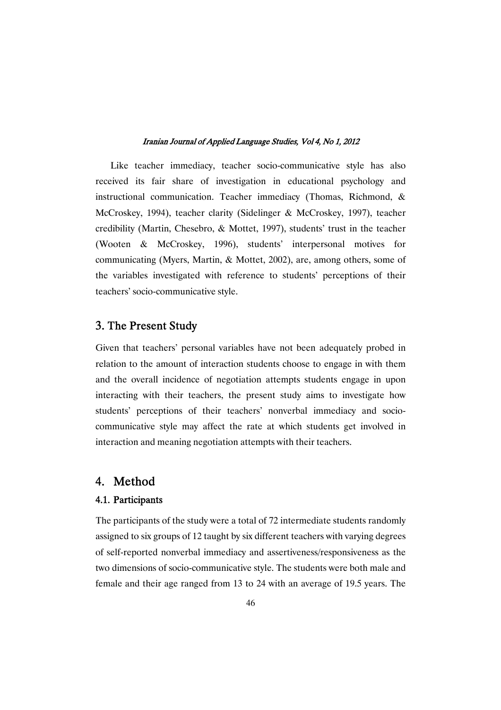Like teacher immediacy, teacher socio-communicative style has also received its fair share of investigation in educational psychology and instructional communication. Teacher immediacy (Thomas, Richmond, & McCroskey, 1994), teacher clarity (Sidelinger & McCroskey, 1997), teacher credibility (Martin, Chesebro, & Mottet, 1997), students' trust in the teacher (Wooten & McCroskey, 1996), students' interpersonal motives for communicating (Myers, Martin, & Mottet, 2002), are, among others, some of the variables investigated with reference to students' perceptions of their teachers' socio-communicative style.

## 3. The Present Study

Given that teachers' personal variables have not been adequately probed in relation to the amount of interaction students choose to engage in with them and the overall incidence of negotiation attempts students engage in upon interacting with their teachers, the present study aims to investigate how students' perceptions of their teachers' nonverbal immediacy and sociocommunicative style may affect the rate at which students get involved in interaction and meaning negotiation attempts with their teachers.

## 4. Method

## 4.1. Participants

The participants of the study were a total of 72 intermediate students randomly assigned to six groups of 12 taught by six different teachers with varying degrees of self-reported nonverbal immediacy and assertiveness/responsiveness as the two dimensions of socio-communicative style. The students were both male and female and their age ranged from 13 to 24 with an average of 19.5 years. The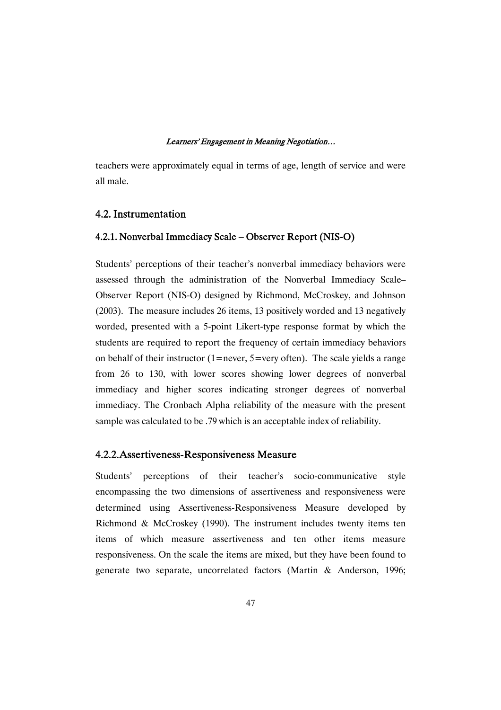teachers were approximately equal in terms of age, length of service and were all male.

## 4.2. Instrumentation

## 4.2.1. Nonverbal Immediacy Scale – Observer Report (NIS-O)

Students' perceptions of their teacher's nonverbal immediacy behaviors were assessed through the administration of the Nonverbal Immediacy Scale– Observer Report (NIS-O) designed by Richmond, McCroskey, and Johnson (2003). The measure includes 26 items, 13 positively worded and 13 negatively worded, presented with a 5-point Likert-type response format by which the students are required to report the frequency of certain immediacy behaviors on behalf of their instructor (1=never, 5=very often). The scale yields a range from 26 to 130, with lower scores showing lower degrees of nonverbal immediacy and higher scores indicating stronger degrees of nonverbal immediacy. The Cronbach Alpha reliability of the measure with the present sample was calculated to be .79 which is an acceptable index of reliability.

## 4.2.2. Assertiveness-Responsiveness Measure

Students' perceptions of their teacher's socio-communicative style encompassing the two dimensions of assertiveness and responsiveness were determined using Assertiveness-Responsiveness Measure developed by Richmond & McCroskey (1990). The instrument includes twenty items ten items of which measure assertiveness and ten other items measure responsiveness. On the scale the items are mixed, but they have been found to generate two separate, uncorrelated factors (Martin & Anderson, 1996;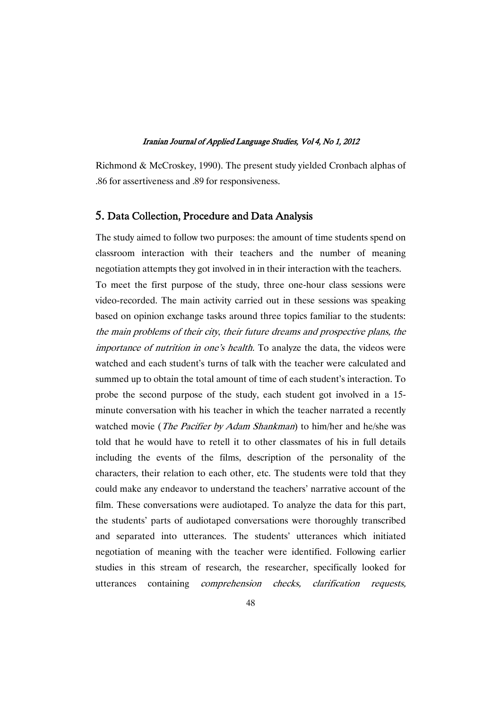Richmond & McCroskey, 1990). The present study yielded Cronbach alphas of .86 for assertiveness and .89 for responsiveness.

## 5. Data Collection, Procedure and Data Analysis

The study aimed to follow two purposes: the amount of time students spend on classroom interaction with their teachers and the number of meaning negotiation attempts they got involved in in their interaction with the teachers. To meet the first purpose of the study, three one-hour class sessions were video-recorded. The main activity carried out in these sessions was speaking based on opinion exchange tasks around three topics familiar to the students: the main problems of their city, their future dreams and prospective plans, the importance of nutrition in one's health. To analyze the data, the videos were watched and each student's turns of talk with the teacher were calculated and summed up to obtain the total amount of time of each student's interaction. To probe the second purpose of the study, each student got involved in a 15 minute conversation with his teacher in which the teacher narrated a recently watched movie (*The Pacifier by Adam Shankman*) to him/her and he/she was told that he would have to retell it to other classmates of his in full details including the events of the films, description of the personality of the characters, their relation to each other, etc. The students were told that they could make any endeavor to understand the teachers' narrative account of the film. These conversations were audiotaped. To analyze the data for this part, the students' parts of audiotaped conversations were thoroughly transcribed and separated into utterances. The students' utterances which initiated negotiation of meaning with the teacher were identified. Following earlier studies in this stream of research, the researcher, specifically looked for utterances containing comprehension checks, clarification requests,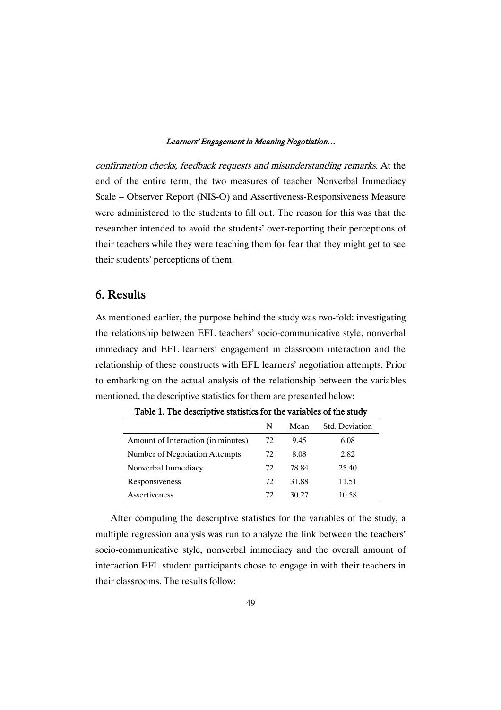confirmation checks, feedback requests and misunderstanding remarks. At the end of the entire term, the two measures of teacher Nonverbal Immediacy Scale – Observer Report (NIS-O) and Assertiveness-Responsiveness Measure were administered to the students to fill out. The reason for this was that the researcher intended to avoid the students' over-reporting their perceptions of their teachers while they were teaching them for fear that they might get to see their students' perceptions of them.

## 6. Results

As mentioned earlier, the purpose behind the study was two-fold: investigating the relationship between EFL teachers' socio-communicative style, nonverbal immediacy and EFL learners' engagement in classroom interaction and the relationship of these constructs with EFL learners' negotiation attempts. Prior to embarking on the actual analysis of the relationship between the variables mentioned, the descriptive statistics for them are presented below:

|                                    | N  | Mean  | Std. Deviation |
|------------------------------------|----|-------|----------------|
| Amount of Interaction (in minutes) | 72 | 9.45  | 6.08           |
| Number of Negotiation Attempts     | 72 | 8.08  | 2.82           |
| Nonverbal Immediacy                | 72 | 78.84 | 25.40          |
| Responsiveness                     | 72 | 31.88 | 11.51          |
| Assertiveness                      | 72 | 30.27 | 10.58          |

Table 1. The descriptive statistics for the variables of the study

After computing the descriptive statistics for the variables of the study, a multiple regression analysis was run to analyze the link between the teachers' socio-communicative style, nonverbal immediacy and the overall amount of interaction EFL student participants chose to engage in with their teachers in their classrooms. The results follow: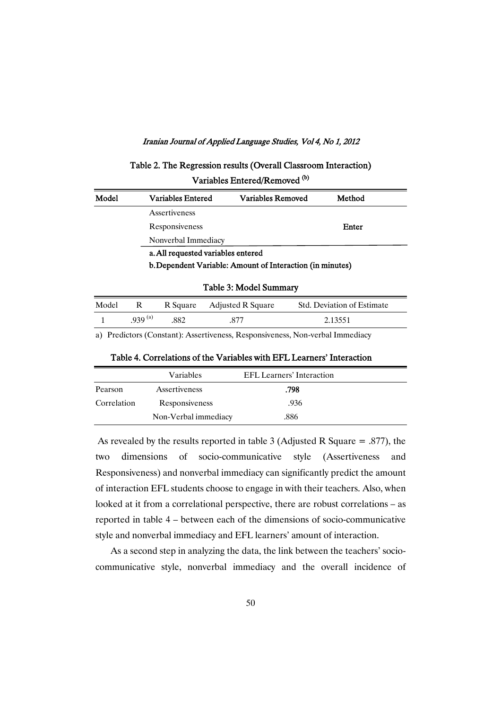Table 2. The Regression results (Overall Classroom Interaction)  $\mathbf{A}$  (b)

| Variables Entered/Removed <sup>to</sup> |  |
|-----------------------------------------|--|
|-----------------------------------------|--|

| Model | <b>Variables Entered</b>           | Variables Removed                                         | Method |  |
|-------|------------------------------------|-----------------------------------------------------------|--------|--|
|       | Assertiveness                      |                                                           |        |  |
|       | Responsiveness                     |                                                           | Enter  |  |
|       | Nonverbal Immediacy                |                                                           |        |  |
|       | a. All requested variables entered |                                                           |        |  |
|       |                                    | b. Dependent Variable: Amount of Interaction (in minutes) |        |  |
|       |                                    |                                                           |        |  |

## Table 3: Model Summary

| Model |             |     | R Square Adjusted R Square | Std. Deviation of Estimate |
|-------|-------------|-----|----------------------------|----------------------------|
|       | $939^{(a)}$ | 882 | 877                        | 2.13551                    |

a) Predictors (Constant): Assertiveness, Responsiveness, Non-verbal Immediacy

|  | Table 4. Correlations of the Variables with EFL Learners' Interaction |  |
|--|-----------------------------------------------------------------------|--|
|--|-----------------------------------------------------------------------|--|

|             | Variables            | EFL Learners' Interaction |  |
|-------------|----------------------|---------------------------|--|
| Pearson     | Assertiveness        | .798                      |  |
| Correlation | Responsiveness       | .936                      |  |
|             | Non-Verbal immediacy | .886                      |  |

As revealed by the results reported in table 3 (Adjusted R Square = .877), the two dimensions of socio-communicative style (Assertiveness and Responsiveness) and nonverbal immediacy can significantly predict the amount of interaction EFL students choose to engage in with their teachers. Also, when looked at it from a correlational perspective, there are robust correlations – as reported in table 4 – between each of the dimensions of socio-communicative style and nonverbal immediacy and EFL learners' amount of interaction.

As a second step in analyzing the data, the link between the teachers' sociocommunicative style, nonverbal immediacy and the overall incidence of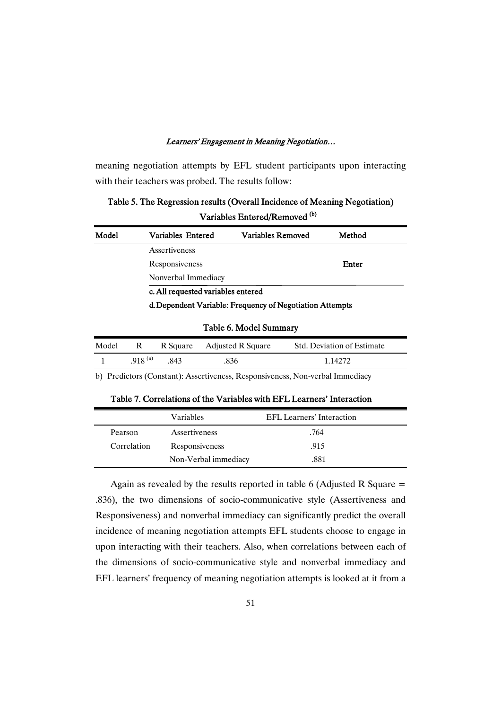meaning negotiation attempts by EFL student participants upon interacting with their teachers was probed. The results follow:

Table 5. The Regression results (Overall Incidence of Meaning Negotiation) Variables Entered/Removed <sup>(b)</sup>

| Model | Variables Entered                  | Variables Removed                                        | Method |  |
|-------|------------------------------------|----------------------------------------------------------|--------|--|
|       | Assertiveness                      |                                                          |        |  |
|       | Responsiveness                     |                                                          | Enter  |  |
|       | Nonverbal Immediacy                |                                                          |        |  |
|       | c. All requested variables entered |                                                          |        |  |
|       |                                    | d. Dependent Variable: Frequency of Negotiation Attempts |        |  |

## Table 6. Model Summary

| Model | R                  |      | R Square Adjusted R Square | <b>Std. Deviation of Estimate</b> |  |
|-------|--------------------|------|----------------------------|-----------------------------------|--|
|       | 918 <sup>(a)</sup> | -843 | .836                       | 1.14272                           |  |

b) Predictors (Constant): Assertiveness, Responsiveness, Non-verbal Immediacy

Table 7. Correlations of the Variables with EFL Learners' Interaction

|             | <b>Variables</b>     | EFL Learners' Interaction |  |
|-------------|----------------------|---------------------------|--|
| Pearson     | Assertiveness        | .764                      |  |
| Correlation | Responsiveness       | .915                      |  |
|             | Non-Verbal immediacy | .881                      |  |

Again as revealed by the results reported in table 6 (Adjusted R Square  $=$ .836), the two dimensions of socio-communicative style (Assertiveness and Responsiveness) and nonverbal immediacy can significantly predict the overall incidence of meaning negotiation attempts EFL students choose to engage in upon interacting with their teachers. Also, when correlations between each of the dimensions of socio-communicative style and nonverbal immediacy and EFL learners' frequency of meaning negotiation attempts is looked at it from a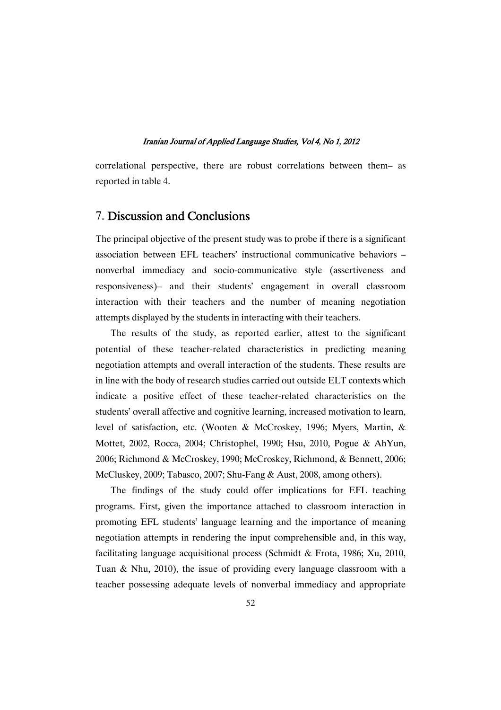correlational perspective, there are robust correlations between them– as reported in table 4.

## 7. Discussion and Conclusions

The principal objective of the present study was to probe if there is a significant association between EFL teachers' instructional communicative behaviors – nonverbal immediacy and socio-communicative style (assertiveness and responsiveness)– and their students' engagement in overall classroom interaction with their teachers and the number of meaning negotiation attempts displayed by the students in interacting with their teachers.

The results of the study, as reported earlier, attest to the significant potential of these teacher-related characteristics in predicting meaning negotiation attempts and overall interaction of the students. These results are in line with the body of research studies carried out outside ELT contexts which indicate a positive effect of these teacher-related characteristics on the students' overall affective and cognitive learning, increased motivation to learn, level of satisfaction, etc. (Wooten & McCroskey, 1996; Myers, Martin, & Mottet, 2002, Rocca, 2004; Christophel, 1990; Hsu, 2010, Pogue & AhYun, 2006; Richmond & McCroskey, 1990; McCroskey, Richmond, & Bennett, 2006; McCluskey, 2009; Tabasco, 2007; Shu-Fang & Aust, 2008, among others).

The findings of the study could offer implications for EFL teaching programs. First, given the importance attached to classroom interaction in promoting EFL students' language learning and the importance of meaning negotiation attempts in rendering the input comprehensible and, in this way, facilitating language acquisitional process (Schmidt & Frota, 1986; Xu, 2010, Tuan & Nhu, 2010), the issue of providing every language classroom with a teacher possessing adequate levels of nonverbal immediacy and appropriate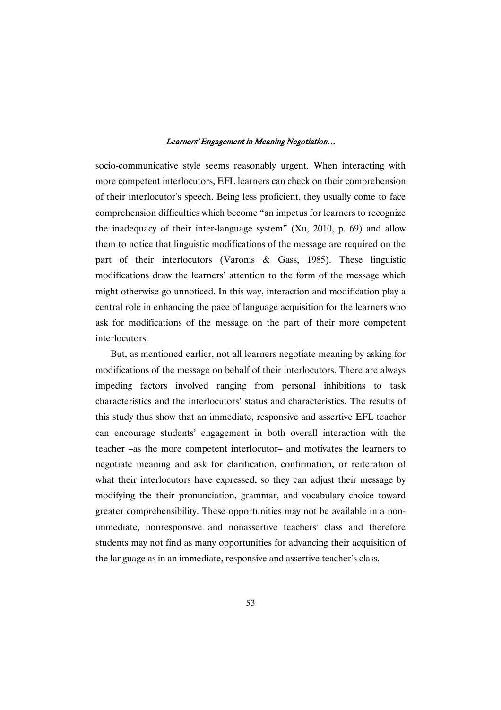socio-communicative style seems reasonably urgent. When interacting with more competent interlocutors, EFL learners can check on their comprehension of their interlocutor's speech. Being less proficient, they usually come to face comprehension difficulties which become "an impetus for learners to recognize the inadequacy of their inter-language system" (Xu, 2010, p. 69) and allow them to notice that linguistic modifications of the message are required on the part of their interlocutors (Varonis & Gass, 1985). These linguistic modifications draw the learners' attention to the form of the message which might otherwise go unnoticed. In this way, interaction and modification play a central role in enhancing the pace of language acquisition for the learners who ask for modifications of the message on the part of their more competent interlocutors.

But, as mentioned earlier, not all learners negotiate meaning by asking for modifications of the message on behalf of their interlocutors. There are always impeding factors involved ranging from personal inhibitions to task characteristics and the interlocutors' status and characteristics. The results of this study thus show that an immediate, responsive and assertive EFL teacher can encourage students' engagement in both overall interaction with the teacher –as the more competent interlocutor– and motivates the learners to negotiate meaning and ask for clarification, confirmation, or reiteration of what their interlocutors have expressed, so they can adjust their message by modifying the their pronunciation, grammar, and vocabulary choice toward greater comprehensibility. These opportunities may not be available in a nonimmediate, nonresponsive and nonassertive teachers' class and therefore students may not find as many opportunities for advancing their acquisition of the language as in an immediate, responsive and assertive teacher's class.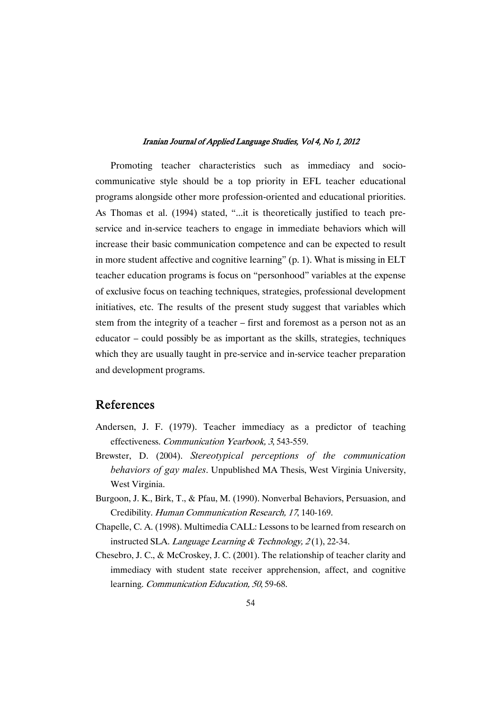Promoting teacher characteristics such as immediacy and sociocommunicative style should be a top priority in EFL teacher educational programs alongside other more profession-oriented and educational priorities. As Thomas et al. (1994) stated, "...it is theoretically justified to teach preservice and in-service teachers to engage in immediate behaviors which will increase their basic communication competence and can be expected to result in more student affective and cognitive learning" (p. 1). What is missing in ELT teacher education programs is focus on "personhood" variables at the expense of exclusive focus on teaching techniques, strategies, professional development initiatives, etc. The results of the present study suggest that variables which stem from the integrity of a teacher – first and foremost as a person not as an educator – could possibly be as important as the skills, strategies, techniques which they are usually taught in pre-service and in-service teacher preparation and development programs.

## References

- Andersen, J. F. (1979). Teacher immediacy as a predictor of teaching effectiveness. Communication Yearbook, <sup>3</sup>, 543-559.
- Brewster, D. (2004). *Stereotypical perceptions of the communication behaviors of gay males*. Unpublished MA Thesis, West Virginia University, West Virginia.
- Burgoon, J. K., Birk, T., & Pfau, M. (1990). Nonverbal Behaviors, Persuasion, and Credibility. Human Communication Research, <sup>17</sup>, 140-169.
- Chapelle, C. A. (1998). Multimedia CALL: Lessons to be learned from research on instructed SLA. Language Learning & Technology,  $2(1)$ , 22-34.
- Chesebro, J. C., & McCroskey, J. C. (2001). The relationship of teacher clarity and immediacy with student state receiver apprehension, affect, and cognitive learning. Communication Education, <sup>50</sup>, 59-68.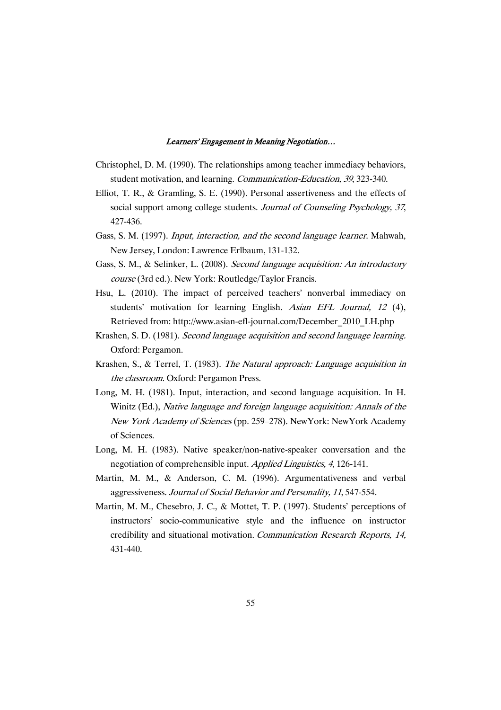- Christophel, D. M. (1990). The relationships among teacher immediacy behaviors, student motivation, and learning. Communication-Education, <sup>39</sup>, 323-340.
- Elliot, T. R., & Gramling, S. E. (1990). Personal assertiveness and the effects of social support among college students. Journal of Counseling Psychology, 37, 427-436.
- Gass, S. M. (1997). *Input, interaction, and the second language learner*. Mahwah, New Jersey, London: Lawrence Erlbaum, 131-132.
- Gass, S. M., & Selinker, L. (2008). Second language acquisition: An introductory course (3rd ed.). New York: Routledge/Taylor Francis.
- Hsu, L. (2010). The impact of perceived teachers' nonverbal immediacy on students' motivation for learning English. Asian EFL Journal, 12 (4), Retrieved from: http://www.asian-efl-journal.com/December\_2010\_LH.php
- Krashen, S. D. (1981). Second language acquisition and second language learning. Oxford: Pergamon.
- Krashen, S., & Terrel, T. (1983). The Natural approach: Language acquisition in the classroom. Oxford: Pergamon Press.
- Long, M. H. (1981). Input, interaction, and second language acquisition. In H. Winitz (Ed.), Native language and foreign language acquisition: Annals of the New York Academy of Sciences (pp. 259–278). NewYork: NewYork Academy of Sciences.
- Long, M. H. (1983). Native speaker/non-native-speaker conversation and the negotiation of comprehensible input. Applied Linguistics, <sup>4</sup>, 126-141.
- Martin, M. M., & Anderson, C. M. (1996). Argumentativeness and verbal aggressiveness. Journal of Social Behavior and Personality, <sup>11</sup>, 547-554.
- Martin, M. M., Chesebro, J. C., & Mottet, T. P. (1997). Students' perceptions of instructors' socio-communicative style and the influence on instructor credibility and situational motivation. Communication Research Reports, 14, 431-440.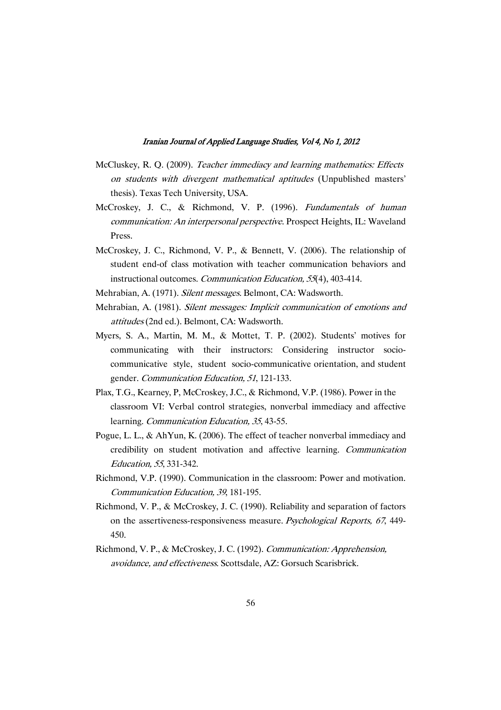- McCluskey, R. Q. (2009). Teacher immediacy and learning mathematics: Effects on students with divergent mathematical aptitudes (Unpublished masters' thesis). Texas Tech University, USA.
- McCroskey, J. C., & Richmond, V. P. (1996). Fundamentals of human communication: An interpersonal perspective. Prospect Heights, IL: Waveland Press.
- McCroskey, J. C., Richmond, V. P., & Bennett, V. (2006). The relationship of student end-of class motivation with teacher communication behaviors and instructional outcomes. Communication Education, <sup>55</sup>(4), 403-414.
- Mehrabian, A. (1971). Silent messages. Belmont, CA: Wadsworth.
- Mehrabian, A. (1981). Silent messages: Implicit communication of emotions and attitudes (2nd ed.). Belmont, CA: Wadsworth.
- Myers, S. A., Martin, M. M., & Mottet, T. P. (2002). Students' motives for communicating with their instructors: Considering instructor sociocommunicative style, student socio-communicative orientation, and student gender. Communication Education, <sup>51</sup>, 121-133.
- Plax, T.G., Kearney, P, McCroskey, J.C., & Richmond, V.P. (1986). Power in the classroom VI: Verbal control strategies, nonverbal immediacy and affective learning. Communication Education, <sup>35</sup>, 43-55.
- Pogue, L. L., & AhYun, K. (2006). The effect of teacher nonverbal immediacy and credibility on student motivation and affective learning. Communication Education, <sup>55</sup>, 331-342.
- Richmond, V.P. (1990). Communication in the classroom: Power and motivation. Communication Education, <sup>39</sup>, 181-195.
- Richmond, V. P., & McCroskey, J. C. (1990). Reliability and separation of factors on the assertiveness-responsiveness measure. Psychological Reports, <sup>67</sup>, 449- 450.
- Richmond, V. P., & McCroskey, J. C. (1992). Communication: Apprehension, avoidance, and effectiveness. Scottsdale, AZ: Gorsuch Scarisbrick.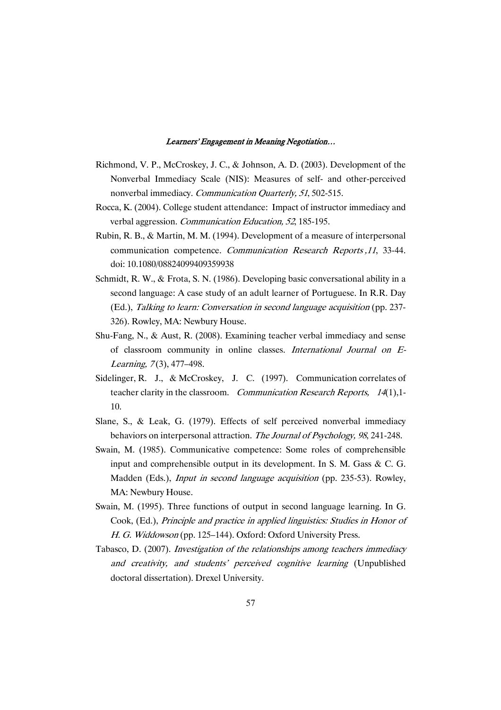- Richmond, V. P., McCroskey, J. C., & Johnson, A. D. (2003). Development of the Nonverbal Immediacy Scale (NIS): Measures of self- and other-perceived nonverbal immediacy. Communication Quarterly, <sup>51</sup>, 502-515.
- Rocca, K. (2004). College student attendance: Impact of instructor immediacy and verbal aggression. Communication Education, <sup>52</sup>, 185-195.
- Rubin, R. B., & Martin, M. M. (1994). Development of a measure of interpersonal communication competence. Communication Research Reports ,<sup>11</sup>, 33-44. doi: 10.1080/08824099409359938
- Schmidt, R. W., & Frota, S. N. (1986). Developing basic conversational ability in a second language: A case study of an adult learner of Portuguese. In R.R. Day (Ed.), Talking to learn: Conversation in second language acquisition (pp. 237- 326). Rowley, MA: Newbury House.
- Shu-Fang, N., & Aust, R. (2008). Examining teacher verbal immediacy and sense of classroom community in online classes. International Journal on E-Learning, 7(3), 477-498.
- Sidelinger, R. J., & McCroskey, J. C. (1997). Communication correlates of teacher clarity in the classroom. Communication Research Reports, <sup>14</sup>(1),1- 10.
- Slane, S., & Leak, G. (1979). Effects of self perceived nonverbal immediacy behaviors on interpersonal attraction. The Journal of Psychology, 98, 241-248.
- Swain, M. (1985). Communicative competence: Some roles of comprehensible input and comprehensible output in its development. In S. M. Gass & C. G. Madden (Eds.), Input in second language acquisition (pp. 235-53). Rowley, MA: Newbury House.
- Swain, M. (1995). Three functions of output in second language learning. In G. Cook, (Ed.), Principle and practice in applied linguistics: Studies in Honor of H. G. Widdowson (pp. 125–144). Oxford: Oxford University Press.
- Tabasco, D. (2007). Investigation of the relationships among teachers immediacy and creativity, and students' perceived cognitive learning (Unpublished doctoral dissertation). Drexel University.